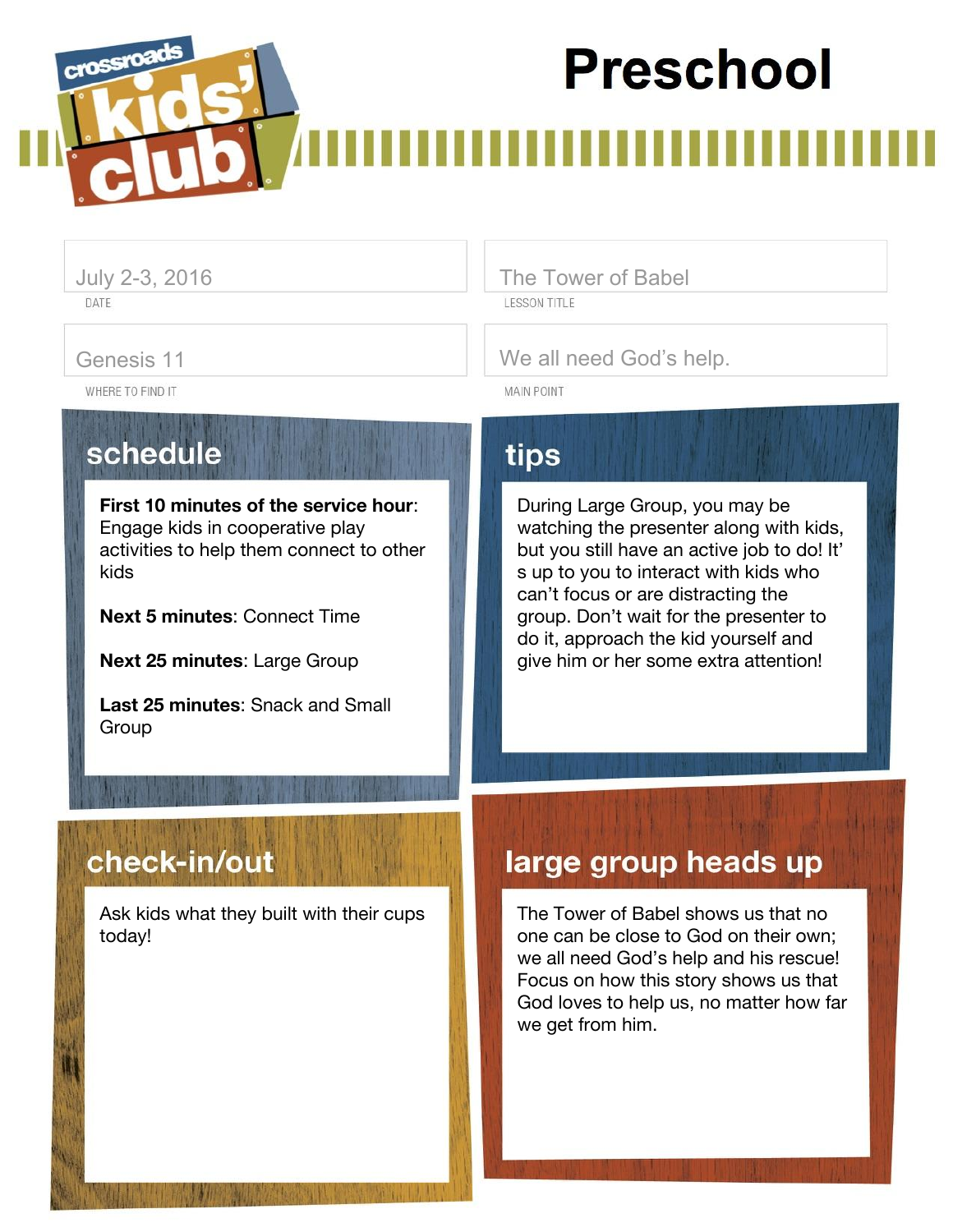# **Preschool**

DATE

crossroa

July 2-3, 2016 **The Tower of Babel LESSON TITLE** 

Genesis 11 Genesis 11 We all need God's help.

WHERE TO FIND IT

schedule

**First 10 minutes of the service hour**: Engage kids in cooperative play activities to help them connect to other kids

**Next 5 minutes**: Connect Time

**Next 25 minutes**: Large Group

**Last 25 minutes**: Snack and Small **Group** 

## tips

**MAIN POINT** 

During Large Group, you may be watching the presenter along with kids, but you still have an active job to do! It' s up to you to interact with kids who can't focus or are distracting the group. Don't wait for the presenter to do it, approach the kid yourself and give him or her some extra attention!

## check-in/out

Ask kids what they built with their cups today!

## large group heads up

The Tower of Babel shows us that no one can be close to God on their own; we all need God's help and his rescue! Focus on how this story shows us that God loves to help us, no matter how far we get from him.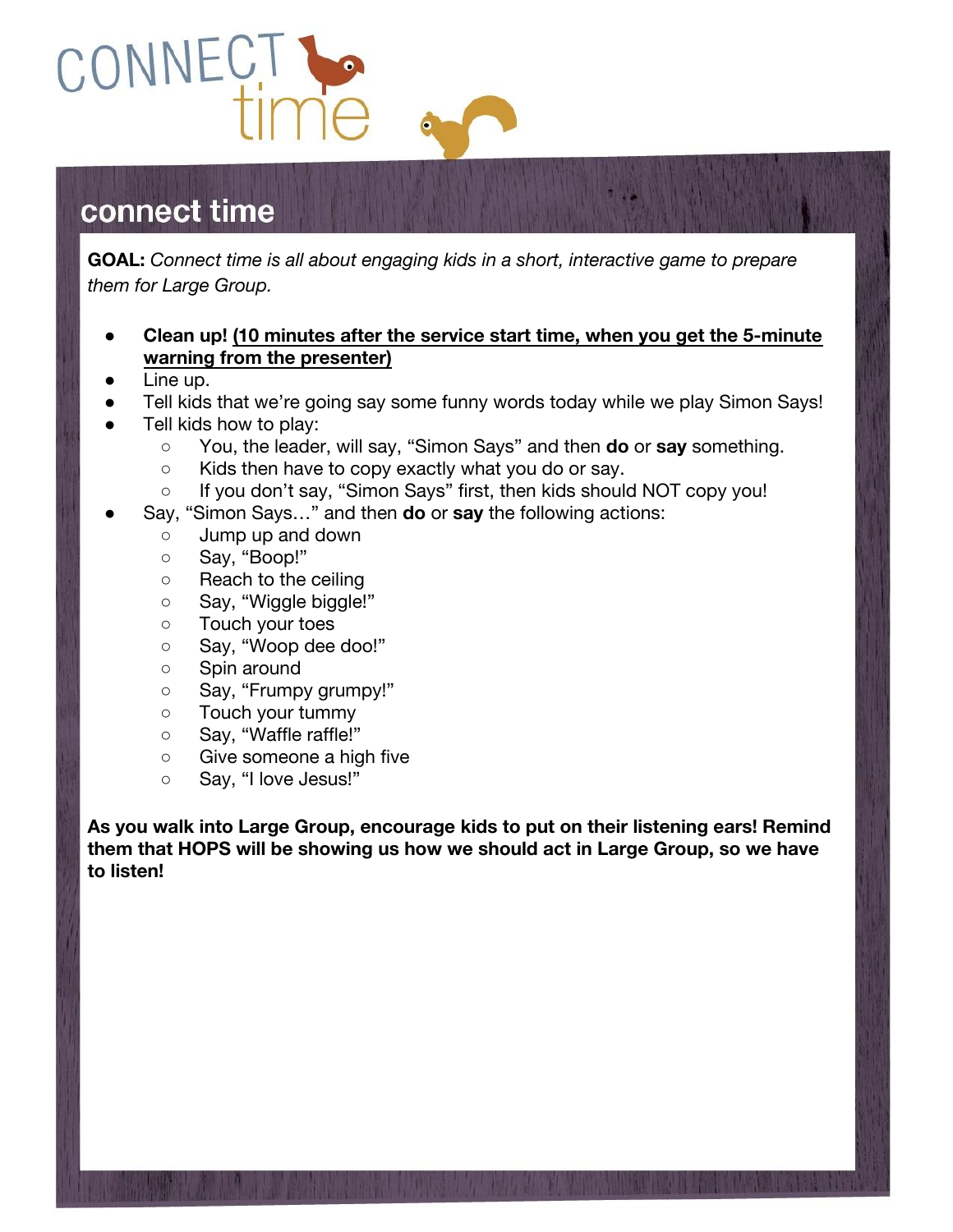

## connect time

**GOAL:** *Connect time is all about engaging kids in a short, interactive game to prepare them for Large Group.*

#### **● Clean up! (10 minutes after the service start time, when you get the 5-minute warning from the presenter)**

- Line up.
- Tell kids that we're going say some funny words today while we play Simon Says!
- Tell kids how to play:
	- You, the leader, will say, "Simon Says" and then **do** or **say** something.
	- Kids then have to copy exactly what you do or say.
	- If you don't say, "Simon Says" first, then kids should NOT copy you!
- Say, "Simon Says..." and then **do** or say the following actions:
	- Jump up and down
	- Say, "Boop!"
	- Reach to the ceiling
	- Say, "Wiggle biggle!"
	- Touch your toes
	- o Say, "Woop dee doo!"
	- o Spin around
	- Say, "Frumpy grumpy!"
	- Touch your tummy
	- Say, "Waffle raffle!"
	- Give someone a high five
	- Say, "I love Jesus!"

**As you walk into Large Group, encourage kids to put on their listening ears! Remind them that HOPS will be showing us how we should act in Large Group, so we have to listen!**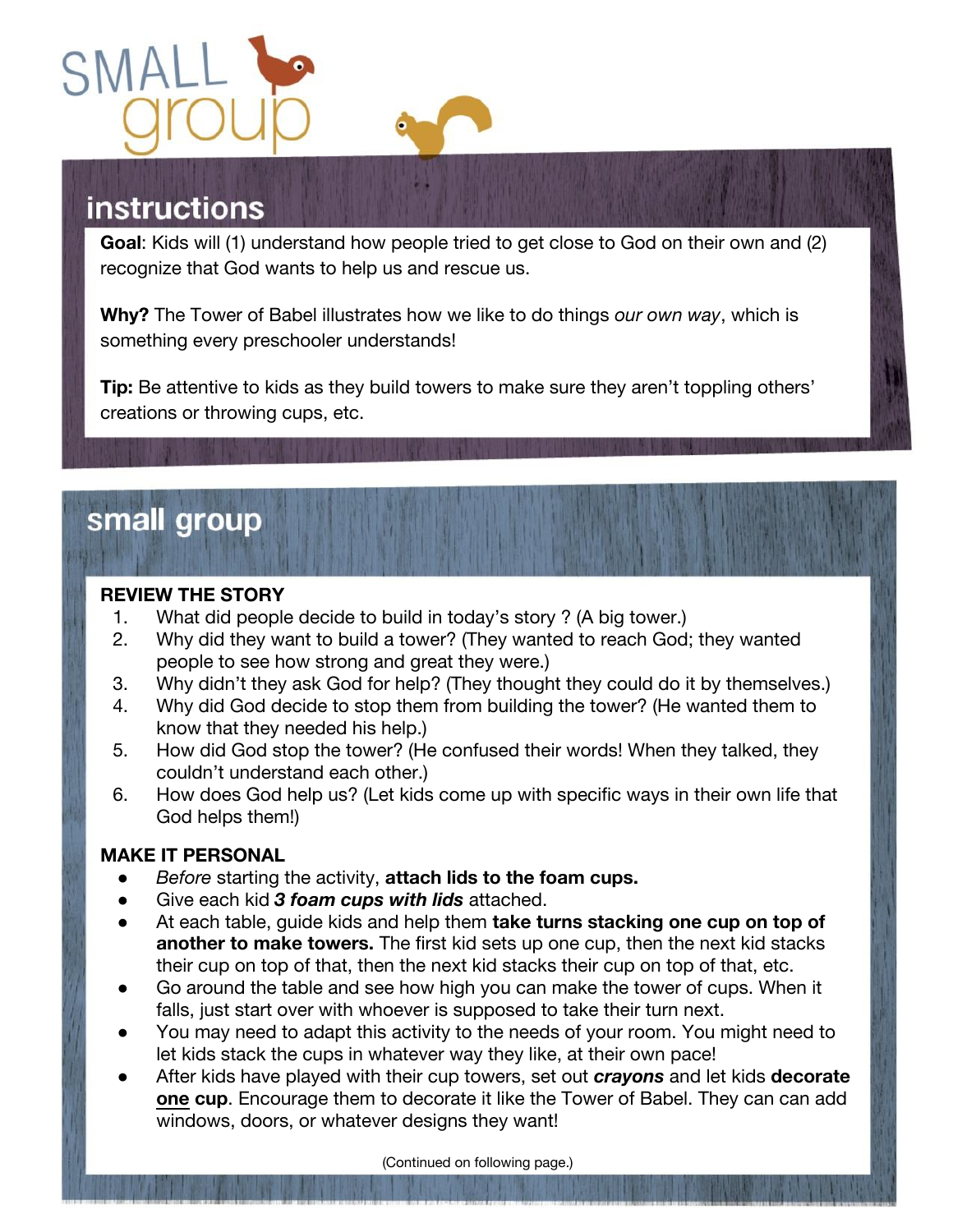



## **instructions**

**Goal**: Kids will (1) understand how people tried to get close to God on their own and (2) recognize that God wants to help us and rescue us.

**Why?** The Tower of Babel illustrates how we like to do things *our own way*, which is something every preschooler understands!

**Tip:** Be attentive to kids as they build towers to make sure they aren't toppling others' creations or throwing cups, etc.

## small group

#### **REVIEW THE STORY**

- 1. What did people decide to build in today's story ? (A big tower.)
- 2. Why did they want to build a tower? (They wanted to reach God; they wanted people to see how strong and great they were.)
- 3. Why didn't they ask God for help? (They thought they could do it by themselves.)
- 4. Why did God decide to stop them from building the tower? (He wanted them to know that they needed his help.)
- 5. How did God stop the tower? (He confused their words! When they talked, they couldn't understand each other.)
- 6. How does God help us? (Let kids come up with specific ways in their own life that God helps them!)

#### **MAKE IT PERSONAL**

- *Before* starting the activity, **attach lids to the foam cups.**
- Give each kid 3 foam cups with lids attached.
- At each table, guide kids and help them **take turns stacking one cup on top of another to make towers.** The first kid sets up one cup, then the next kid stacks their cup on top of that, then the next kid stacks their cup on top of that, etc.
- Go around the table and see how high you can make the tower of cups. When it falls, just start over with whoever is supposed to take their turn next.
- You may need to adapt this activity to the needs of your room. You might need to let kids stack the cups in whatever way they like, at their own pace!
- After kids have played with their cup towers, set out *crayons* and let kids **decorate one cup**. Encourage them to decorate it like the Tower of Babel. They can can add windows, doors, or whatever designs they want!

(Continued on following page.)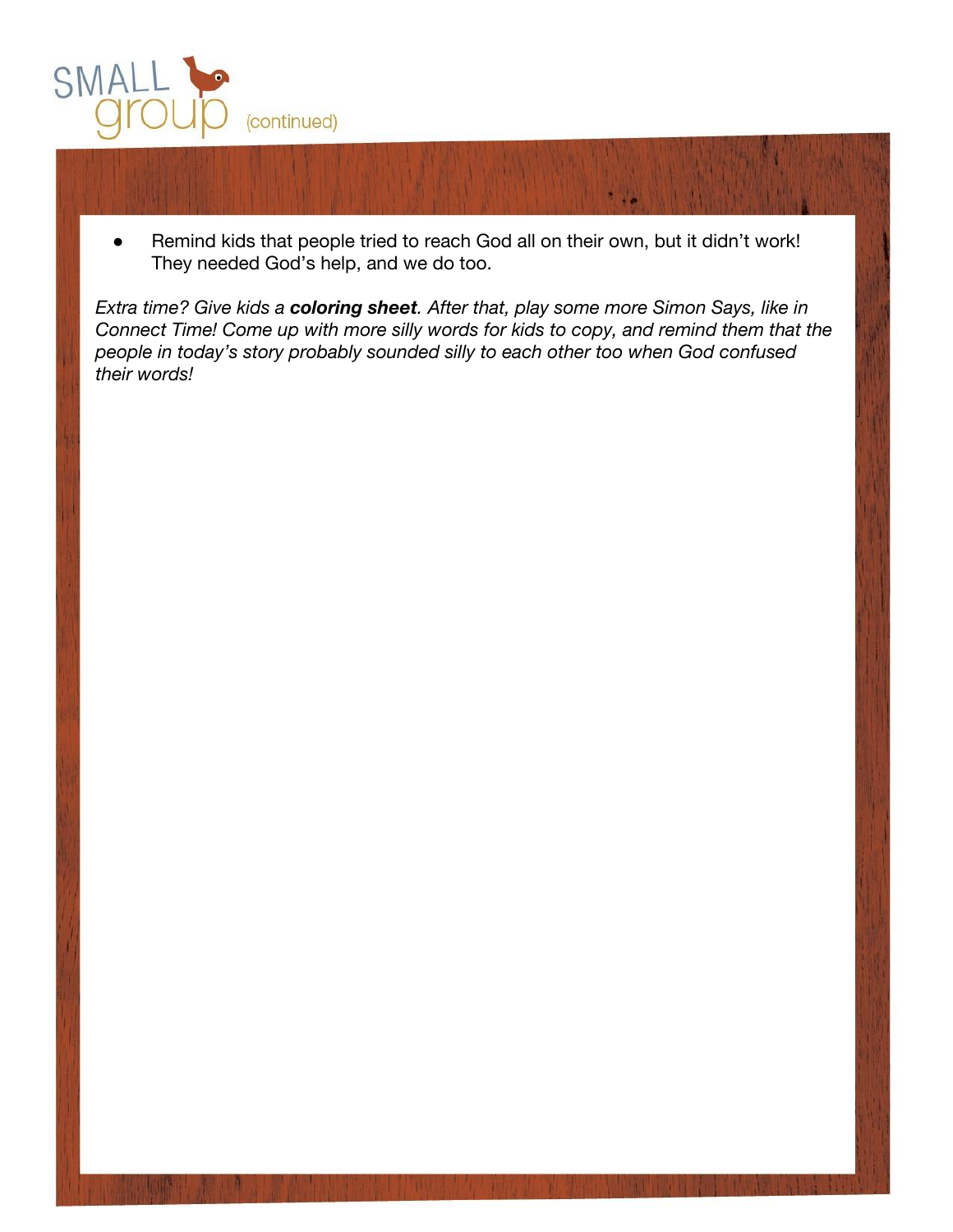

● Remind kids that people tried to reach God all on their own, but it didn't work! They needed God's help, and we do too.

*Extra time? Give kids a coloring sheet. After that, play some more Simon Says, like in Connect Time! Come up with more silly words for kids to copy, and remind them that the people in today's story probably sounded silly to each other too when God confused their words!*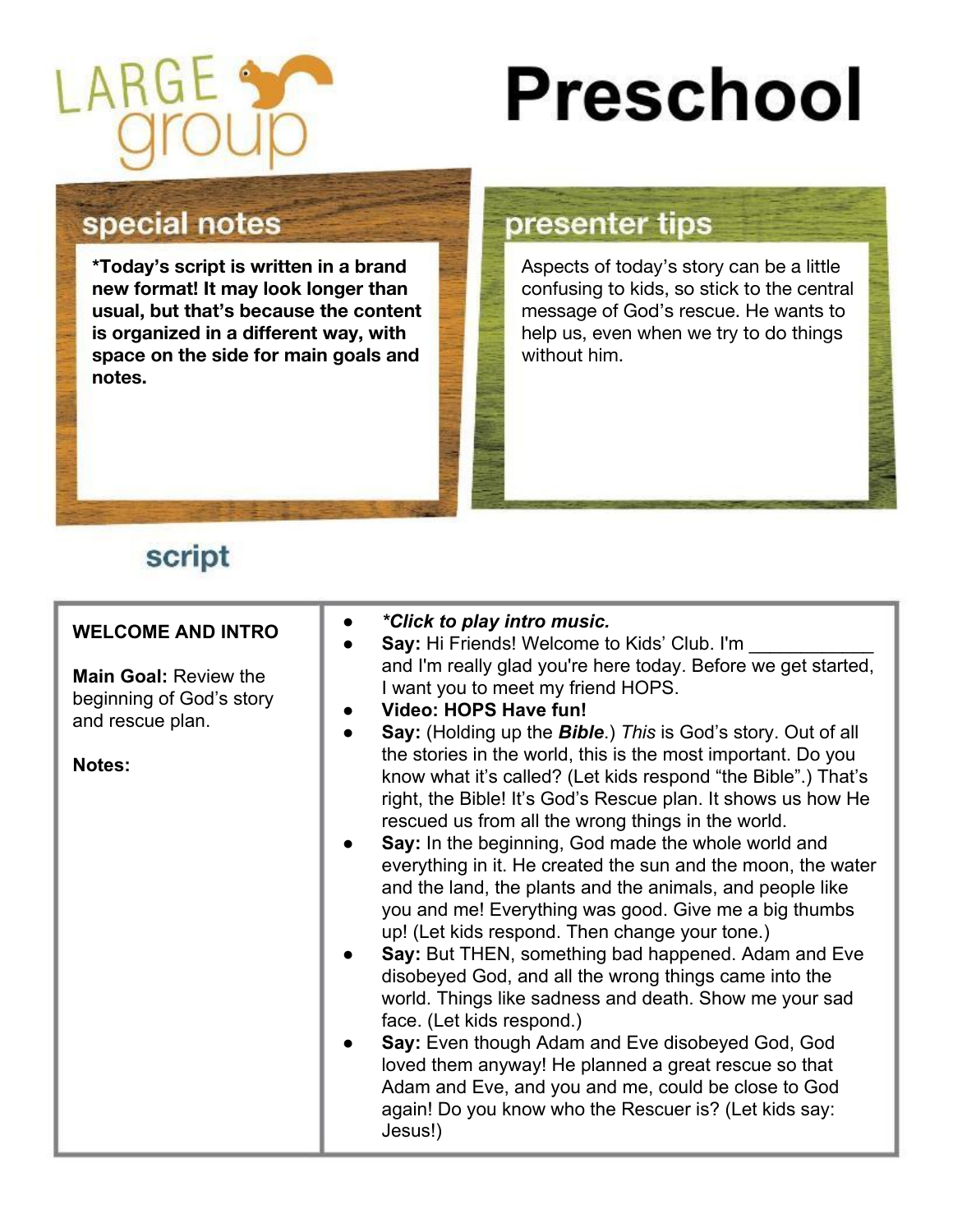

# **Preschool**

### special notes

**\*Today's script is written in a brand new format! It may look longer than usual, but that's because the content is organized in a different way, with space on the side for main goals and notes.** 

#### presenter tips

Aspects of today's story can be a little confusing to kids, so stick to the central message of God's rescue. He wants to help us, even when we try to do things without him.

## script

| <b>WELCOME AND INTRO</b><br><b>Main Goal: Review the</b><br>beginning of God's story<br>and rescue plan.<br><b>Notes:</b> | *Click to play intro music.<br>Say: Hi Friends! Welcome to Kids' Club. I'm<br>and I'm really glad you're here today. Before we get started,<br>I want you to meet my friend HOPS.<br>Video: HOPS Have fun!<br><b>Say:</b> (Holding up the <b>Bible</b> .) This is God's story. Out of all<br>the stories in the world, this is the most important. Do you<br>know what it's called? (Let kids respond "the Bible".) That's<br>right, the Bible! It's God's Rescue plan. It shows us how He<br>rescued us from all the wrong things in the world.<br>Say: In the beginning, God made the whole world and<br>everything in it. He created the sun and the moon, the water<br>and the land, the plants and the animals, and people like<br>you and me! Everything was good. Give me a big thumbs<br>up! (Let kids respond. Then change your tone.)<br>Say: But THEN, something bad happened. Adam and Eve<br>disobeyed God, and all the wrong things came into the<br>world. Things like sadness and death. Show me your sad<br>face. (Let kids respond.)<br>Say: Even though Adam and Eve disobeyed God, God<br>loved them anyway! He planned a great rescue so that<br>Adam and Eve, and you and me, could be close to God<br>again! Do you know who the Rescuer is? (Let kids say:<br>Jesus!) |
|---------------------------------------------------------------------------------------------------------------------------|-----------------------------------------------------------------------------------------------------------------------------------------------------------------------------------------------------------------------------------------------------------------------------------------------------------------------------------------------------------------------------------------------------------------------------------------------------------------------------------------------------------------------------------------------------------------------------------------------------------------------------------------------------------------------------------------------------------------------------------------------------------------------------------------------------------------------------------------------------------------------------------------------------------------------------------------------------------------------------------------------------------------------------------------------------------------------------------------------------------------------------------------------------------------------------------------------------------------------------------------------------------------------------------------------|
|---------------------------------------------------------------------------------------------------------------------------|-----------------------------------------------------------------------------------------------------------------------------------------------------------------------------------------------------------------------------------------------------------------------------------------------------------------------------------------------------------------------------------------------------------------------------------------------------------------------------------------------------------------------------------------------------------------------------------------------------------------------------------------------------------------------------------------------------------------------------------------------------------------------------------------------------------------------------------------------------------------------------------------------------------------------------------------------------------------------------------------------------------------------------------------------------------------------------------------------------------------------------------------------------------------------------------------------------------------------------------------------------------------------------------------------|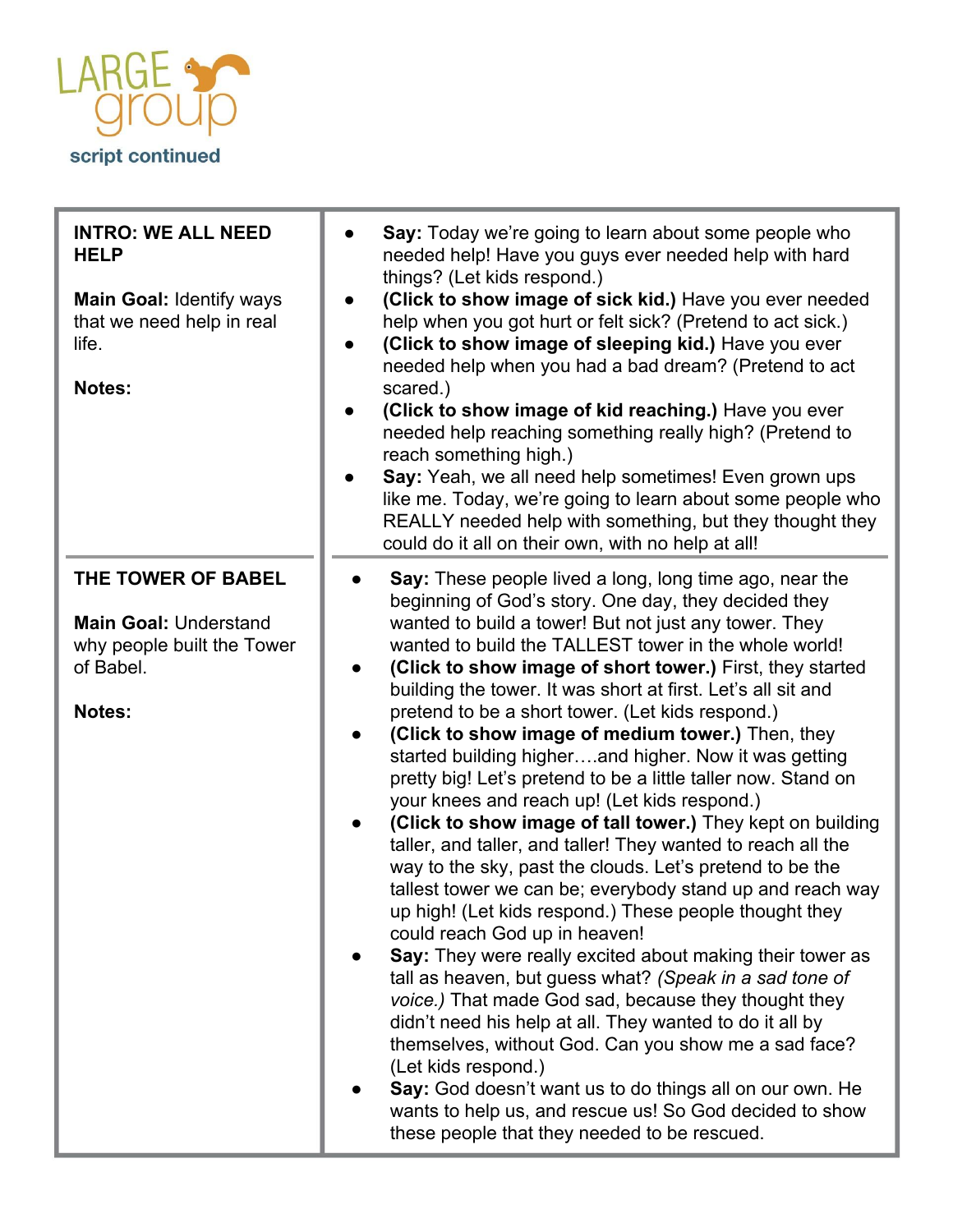

| <b>INTRO: WE ALL NEED</b><br><b>HELP</b><br><b>Main Goal: Identify ways</b><br>that we need help in real<br>life.<br>Notes: | Say: Today we're going to learn about some people who<br>needed help! Have you guys ever needed help with hard<br>things? (Let kids respond.)<br>(Click to show image of sick kid.) Have you ever needed<br>help when you got hurt or felt sick? (Pretend to act sick.)<br>(Click to show image of sleeping kid.) Have you ever<br>needed help when you had a bad dream? (Pretend to act<br>scared.)<br>(Click to show image of kid reaching.) Have you ever<br>needed help reaching something really high? (Pretend to<br>reach something high.)<br>Say: Yeah, we all need help sometimes! Even grown ups<br>like me. Today, we're going to learn about some people who<br>REALLY needed help with something, but they thought they<br>could do it all on their own, with no help at all!                                                                                                                                                                                                                                                                                                                                                                                                                                                                                                                                                                                                                                                                                                                                                   |
|-----------------------------------------------------------------------------------------------------------------------------|----------------------------------------------------------------------------------------------------------------------------------------------------------------------------------------------------------------------------------------------------------------------------------------------------------------------------------------------------------------------------------------------------------------------------------------------------------------------------------------------------------------------------------------------------------------------------------------------------------------------------------------------------------------------------------------------------------------------------------------------------------------------------------------------------------------------------------------------------------------------------------------------------------------------------------------------------------------------------------------------------------------------------------------------------------------------------------------------------------------------------------------------------------------------------------------------------------------------------------------------------------------------------------------------------------------------------------------------------------------------------------------------------------------------------------------------------------------------------------------------------------------------------------------------|
| THE TOWER OF BABEL<br><b>Main Goal: Understand</b><br>why people built the Tower<br>of Babel.<br>Notes:                     | Say: These people lived a long, long time ago, near the<br>beginning of God's story. One day, they decided they<br>wanted to build a tower! But not just any tower. They<br>wanted to build the TALLEST tower in the whole world!<br>(Click to show image of short tower.) First, they started<br>$\bullet$<br>building the tower. It was short at first. Let's all sit and<br>pretend to be a short tower. (Let kids respond.)<br>(Click to show image of medium tower.) Then, they<br>$\bullet$<br>started building higherand higher. Now it was getting<br>pretty big! Let's pretend to be a little taller now. Stand on<br>your knees and reach up! (Let kids respond.)<br>(Click to show image of tall tower.) They kept on building<br>$\bullet$<br>taller, and taller, and taller! They wanted to reach all the<br>way to the sky, past the clouds. Let's pretend to be the<br>tallest tower we can be; everybody stand up and reach way<br>up high! (Let kids respond.) These people thought they<br>could reach God up in heaven!<br>Say: They were really excited about making their tower as<br>tall as heaven, but guess what? (Speak in a sad tone of<br>voice.) That made God sad, because they thought they<br>didn't need his help at all. They wanted to do it all by<br>themselves, without God. Can you show me a sad face?<br>(Let kids respond.)<br>Say: God doesn't want us to do things all on our own. He<br>wants to help us, and rescue us! So God decided to show<br>these people that they needed to be rescued. |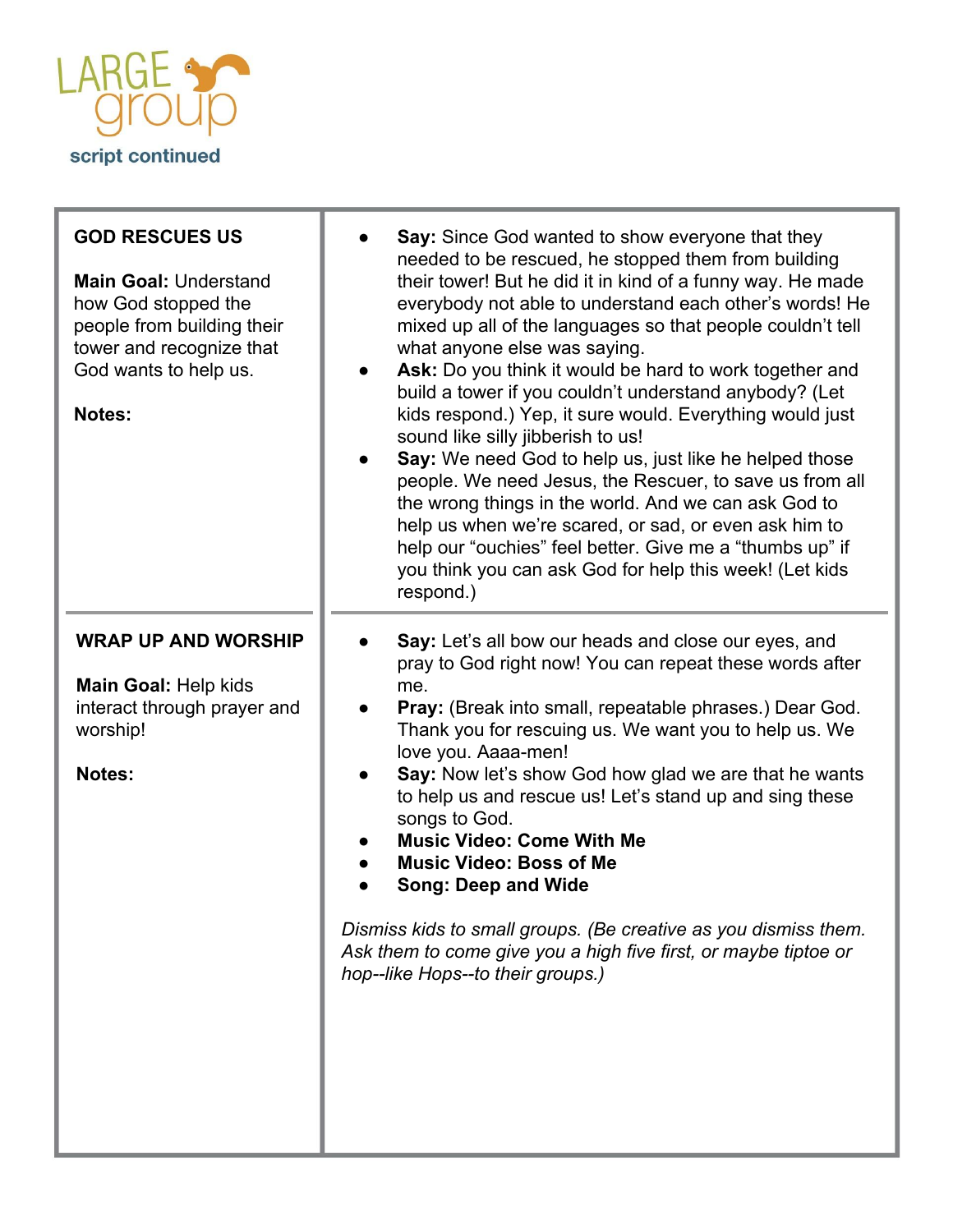

| <b>GOD RESCUES US</b><br><b>Main Goal: Understand</b><br>how God stopped the<br>people from building their<br>tower and recognize that<br>God wants to help us.<br>Notes: | <b>Say:</b> Since God wanted to show everyone that they<br>needed to be rescued, he stopped them from building<br>their tower! But he did it in kind of a funny way. He made<br>everybody not able to understand each other's words! He<br>mixed up all of the languages so that people couldn't tell<br>what anyone else was saying.<br>Ask: Do you think it would be hard to work together and<br>build a tower if you couldn't understand anybody? (Let<br>kids respond.) Yep, it sure would. Everything would just<br>sound like silly jibberish to us!<br>Say: We need God to help us, just like he helped those<br>people. We need Jesus, the Rescuer, to save us from all<br>the wrong things in the world. And we can ask God to<br>help us when we're scared, or sad, or even ask him to<br>help our "ouchies" feel better. Give me a "thumbs up" if<br>you think you can ask God for help this week! (Let kids<br>respond.) |
|---------------------------------------------------------------------------------------------------------------------------------------------------------------------------|---------------------------------------------------------------------------------------------------------------------------------------------------------------------------------------------------------------------------------------------------------------------------------------------------------------------------------------------------------------------------------------------------------------------------------------------------------------------------------------------------------------------------------------------------------------------------------------------------------------------------------------------------------------------------------------------------------------------------------------------------------------------------------------------------------------------------------------------------------------------------------------------------------------------------------------|
| <b>WRAP UP AND WORSHIP</b><br>Main Goal: Help kids<br>interact through prayer and<br>worship!<br><b>Notes:</b>                                                            | Say: Let's all bow our heads and close our eyes, and<br>pray to God right now! You can repeat these words after<br>me.<br><b>Pray:</b> (Break into small, repeatable phrases.) Dear God.<br>Thank you for rescuing us. We want you to help us. We<br>love you. Aaaa-men!<br>Say: Now let's show God how glad we are that he wants<br>to help us and rescue us! Let's stand up and sing these<br>songs to God.<br><b>Music Video: Come With Me</b><br><b>Music Video: Boss of Me</b><br><b>Song: Deep and Wide</b><br>Dismiss kids to small groups. (Be creative as you dismiss them.<br>Ask them to come give you a high five first, or maybe tiptoe or<br>hop--like Hops--to their groups.)                                                                                                                                                                                                                                          |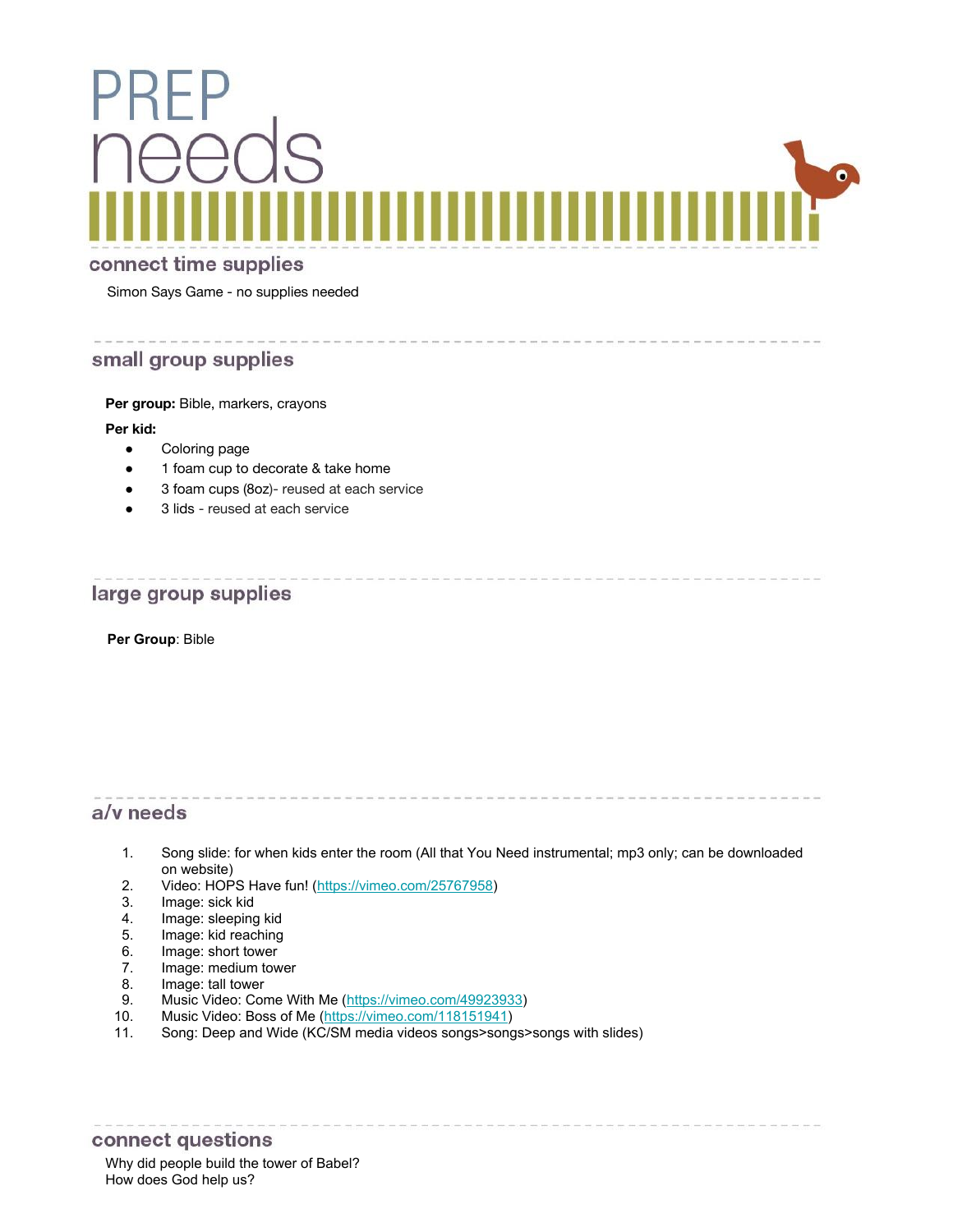

#### connect time supplies

Simon Says Game - no supplies needed

#### small group supplies

Per group: Bible, markers, crayons

#### **Per kid:**

- Coloring page
- 1 foam cup to decorate & take home
- 3 foam cups (8oz)- reused at each service
- 3 lids reused at each service

#### large group supplies

**Per Group**: Bible

#### a/v needs

1. Song slide: for when kids enter the room (All that You Need instrumental; mp3 only; can be downloaded on website)

- 2. Video: HOPS Have fun! ([https://vimeo.com/25767958\)](https://vimeo.com/25767958)<br>3. Image: sick kid
- Image: sick kid
- 4. Image: sleeping kid
- 5. Image: kid reaching
- 6. Image: short tower<br>7. Image: medium tow
- Image: medium tower
- 8. Image: tall tower
- 9. Music Video: Come With Me ([https://vimeo.com/49923933\)](https://vimeo.com/49923933)
- 10. Music Video: Boss of Me [\(https://vimeo.com/118151941](https://vimeo.com/118151941))
- 11. Song: Deep and Wide (KC/SM media videos songs>songs>songs with slides)

#### connect questions